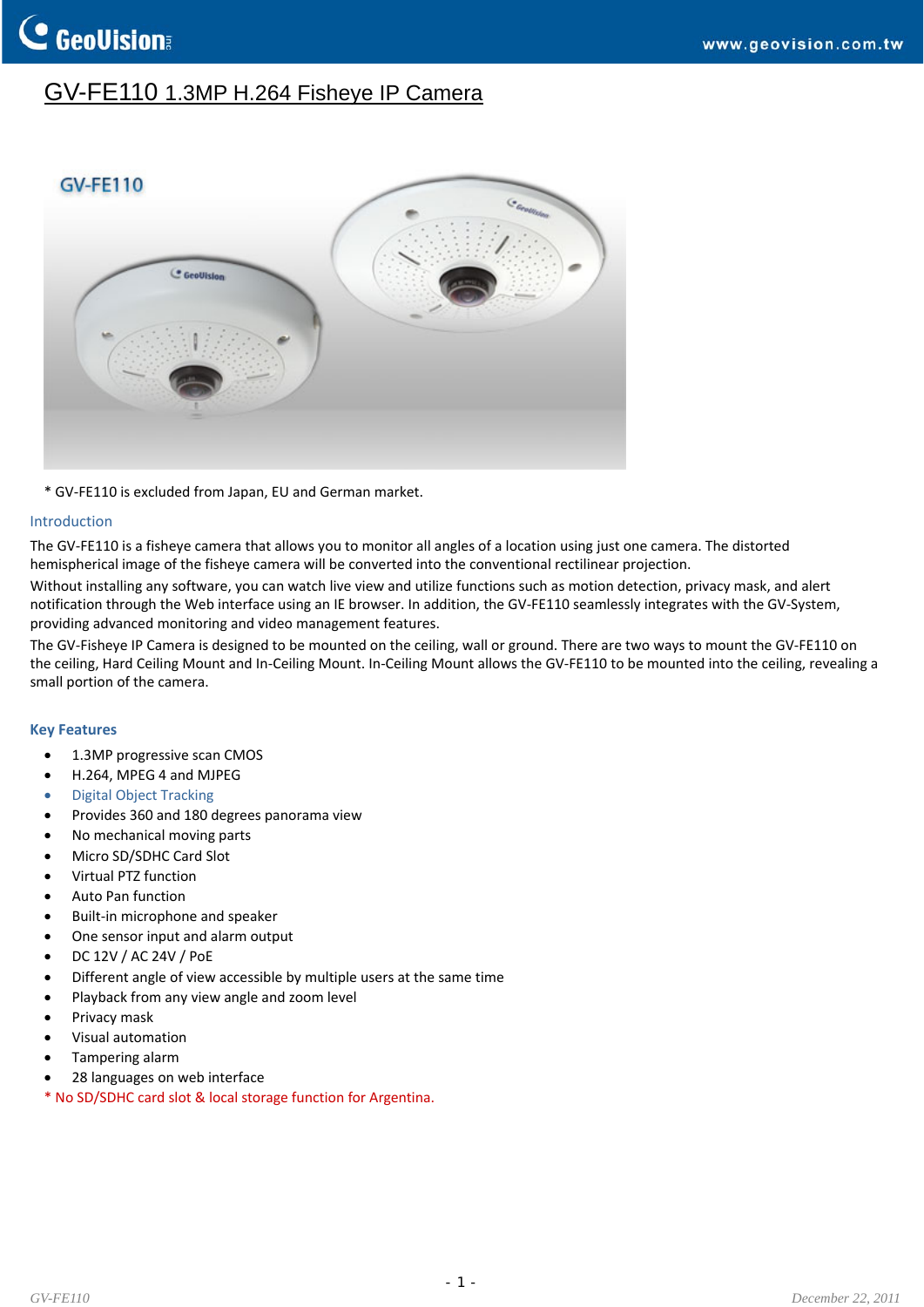## GV-FE110 1.3MP H.264 Fisheye IP Camera



\* GV‐FE110 is excluded from Japan, EU and German market.

### Introduction

The GV‐FE110 is a fisheye camera that allows you to monitor all angles of a location using just one camera. The distorted hemispherical image of the fisheye camera will be converted into the conventional rectilinear projection.

Without installing any software, you can watch live view and utilize functions such as motion detection, privacy mask, and alert notification through the Web interface using an IE browser. In addition, the GV‐FE110 seamlessly integrates with the GV‐System, providing advanced monitoring and video management features.

The GV-Fisheye IP Camera is designed to be mounted on the ceiling, wall or ground. There are two ways to mount the GV-FE110 on the ceiling, Hard Ceiling Mount and In‐Ceiling Mount. In‐Ceiling Mount allows the GV‐FE110 to be mounted into the ceiling, revealing a small portion of the camera.

### **Key Features**

- 1.3MP progressive scan CMOS
- H.264, MPEG 4 and MJPEG
- Digital Object Tracking
- Provides 360 and 180 degrees panorama view
- No mechanical moving parts
- Micro SD/SDHC Card Slot
- Virtual PTZ function
- Auto Pan function
- Built‐in microphone and speaker
- One sensor input and alarm output
- DC 12V / AC 24V / PoE
- Different angle of view accessible by multiple users at the same time
- Playback from any view angle and zoom level
- Privacy mask
- Visual automation
- Tampering alarm
- 28 languages on web interface
- \* No SD/SDHC card slot & local storage function for Argentina.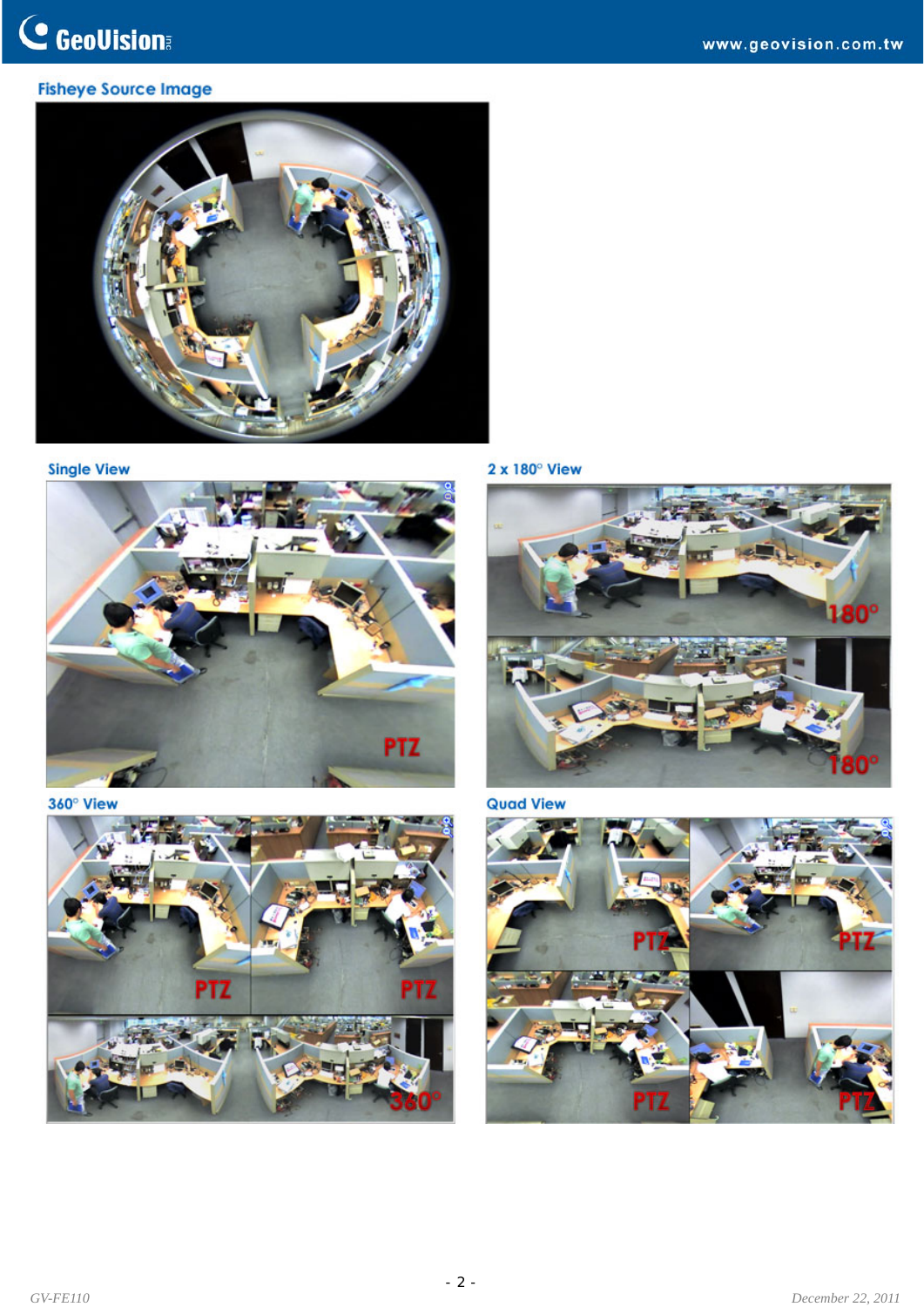## **Fisheye Source Image**



**Single View** 



360° View







**Quad View** 

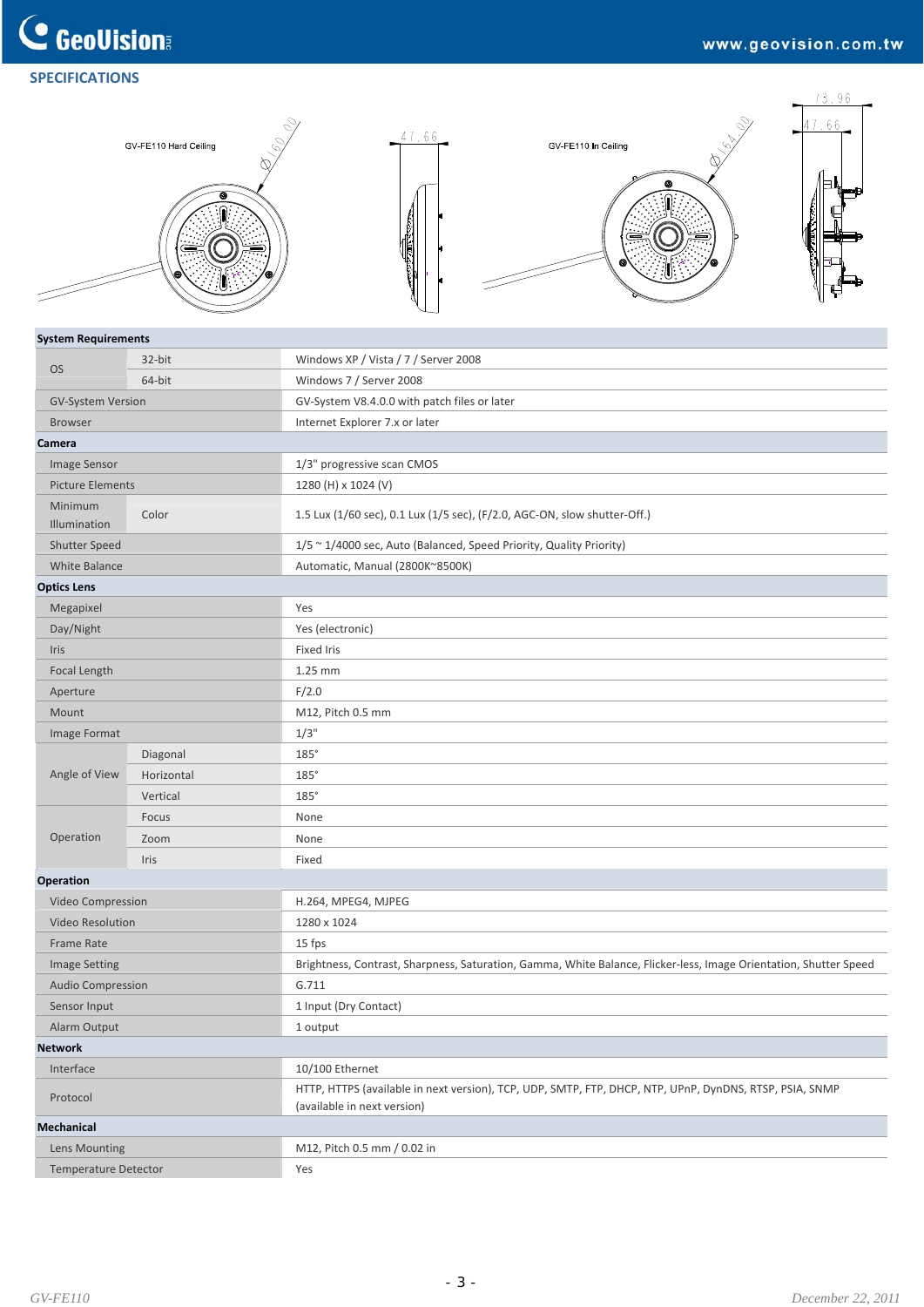## **C** GeoVision **SPECIFICATIONS**



#### **System Requirements**

| <b>OS</b>                   | 32-bit     | Windows XP / Vista / 7 / Server 2008                                                                                                   |
|-----------------------------|------------|----------------------------------------------------------------------------------------------------------------------------------------|
|                             | 64-bit     | Windows 7 / Server 2008                                                                                                                |
| <b>GV-System Version</b>    |            | GV-System V8.4.0.0 with patch files or later                                                                                           |
| <b>Browser</b>              |            | Internet Explorer 7.x or later                                                                                                         |
| Camera                      |            |                                                                                                                                        |
| Image Sensor                |            | 1/3" progressive scan CMOS                                                                                                             |
| <b>Picture Elements</b>     |            | 1280 (H) x 1024 (V)                                                                                                                    |
| Minimum<br>Illumination     | Color      | 1.5 Lux (1/60 sec), 0.1 Lux (1/5 sec), (F/2.0, AGC-ON, slow shutter-Off.)                                                              |
| <b>Shutter Speed</b>        |            | 1/5 ~ 1/4000 sec, Auto (Balanced, Speed Priority, Quality Priority)                                                                    |
| White Balance               |            | Automatic, Manual (2800K~8500K)                                                                                                        |
| <b>Optics Lens</b>          |            |                                                                                                                                        |
| Megapixel                   |            | Yes                                                                                                                                    |
| Day/Night                   |            | Yes (electronic)                                                                                                                       |
| Iris                        |            | <b>Fixed Iris</b>                                                                                                                      |
| Focal Length                |            | 1.25 mm                                                                                                                                |
| Aperture                    |            | F/2.0                                                                                                                                  |
| Mount                       |            | M12, Pitch 0.5 mm                                                                                                                      |
| Image Format                |            | $1/3$ "                                                                                                                                |
|                             | Diagonal   | $185^\circ$                                                                                                                            |
| Angle of View               | Horizontal | 185°                                                                                                                                   |
|                             | Vertical   | $185^\circ$                                                                                                                            |
|                             | Focus      | None                                                                                                                                   |
| Operation                   | Zoom       | None                                                                                                                                   |
|                             | Iris       | Fixed                                                                                                                                  |
| Operation                   |            |                                                                                                                                        |
| Video Compression           |            | H.264, MPEG4, MJPEG                                                                                                                    |
| <b>Video Resolution</b>     |            | 1280 x 1024                                                                                                                            |
| Frame Rate                  |            | 15 fps                                                                                                                                 |
| <b>Image Setting</b>        |            | Brightness, Contrast, Sharpness, Saturation, Gamma, White Balance, Flicker-less, Image Orientation, Shutter Speed                      |
| Audio Compression           |            | G.711                                                                                                                                  |
| Sensor Input                |            | 1 Input (Dry Contact)                                                                                                                  |
| Alarm Output                |            | 1 output                                                                                                                               |
| Network                     |            |                                                                                                                                        |
| Interface                   |            | 10/100 Ethernet                                                                                                                        |
| Protocol                    |            | HTTP, HTTPS (available in next version), TCP, UDP, SMTP, FTP, DHCP, NTP, UPnP, DynDNS, RTSP, PSIA, SNMP<br>(available in next version) |
| Mechanical                  |            |                                                                                                                                        |
| Lens Mounting               |            | M12, Pitch 0.5 mm / 0.02 in                                                                                                            |
| <b>Temperature Detector</b> |            | Yes                                                                                                                                    |
|                             |            |                                                                                                                                        |